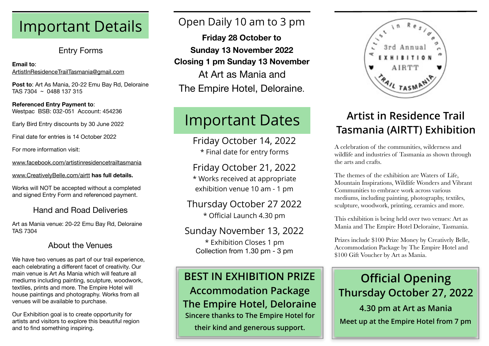# Important Details

### Entry Forms

### **Email to**: [ArtistInResidenceTrailTasmania@gmail.com](mailto:ArtistInResidenceTrailTasmania@gmail.com?subject=)

**Post to**: Art As Mania, 20-22 Emu Bay Rd, Deloraine TAS 7304 ~ 0488 137 315

### **Referenced Entry Payment to**: Westpac BSB: 032-051 Account: 454236

Early Bird Entry discounts by 30 June 2022

Final date for entries is 14 October 2022

For more information visit:

[www.facebook.com/artistinresidencetrailtasmania](http://www.facebook.com/artistinresidencetrailtasmania)

[www.CreativelyBelle.com/airtt](http://www.creativelybelle.com/airtt) **has full details.**

Works will NOT be accepted without a completed and signed Entry Form and referenced payment.

### Hand and Road Deliveries

Art as Mania venue: 20-22 Emu Bay Rd, Deloraine TAS 7304

### About the Venues

We have two venues as part of our trail experience, each celebrating a different facet of creativity. Our main venue is Art As Mania which will feature all mediums including painting, sculpture, woodwork, textiles, prints and more. The Empire Hotel will house paintings and photography. Works from all venues will be available to purchase.

Our Exhibition goal is to create opportunity for artists and visitors to explore this beautiful region and to find something inspiring.

# Open Daily 10 am to 3 pm

**Friday 28 October to Sunday 13 November 2022 Closing 1 pm Sunday 13 November**  At Art as Mania and The Empire Hotel, Deloraine.

# Important Dates

Friday October 14, 2022 \* Final date for entry forms

## Friday October 21, 2022

\* Works received at appropriate exhibition venue 10 am - 1 pm

Thursday October 27 2022 \* Official Launch 4.30 pm

### Sunday November 13, 2022 \* Exhibition Closes 1 pm Collection from 1.30 pm - 3 pm

# **BEST IN EXHIBITION PRIZE Accommodation Package**

**The Empire Hotel, Deloraine Sincere thanks to The Empire Hotel for their kind and generous support.**



# **Artist in Residence Trail Tasmania (AIRTT) Exhibition**

A celebration of the communities, wilderness and wildlife and industries of Tasmania as shown through the arts and crafts.

The themes of the exhibition are Waters of Life, Mountain Inspirations, Wildlife Wonders and Vibrant Communities to embrace work across various mediums, including painting, photography, textiles, sculpture, woodwork, printing, ceramics and more.

This exhibition is being held over two venues: Art as Mania and The Empire Hotel Deloraine, Tasmania.

Prizes include \$100 Prize Money by Creatively Belle, Accommodation Package by The Empire Hotel and \$100 Gift Voucher by Art as Mania.

# **Official Opening Thursday October 27, 2022 4.30 pm at Art as Mania Meet up at the Empire Hotel from 7 pm**